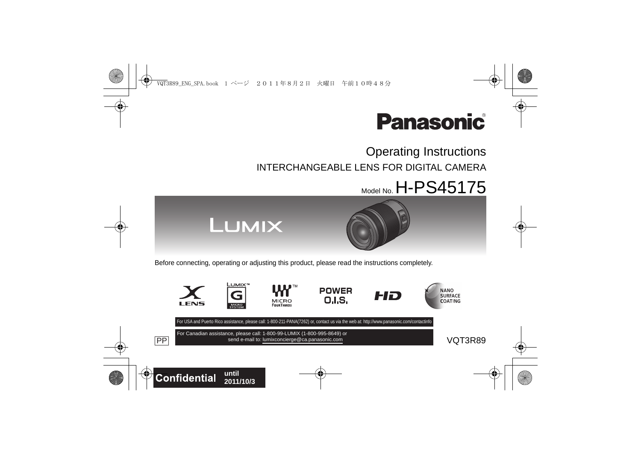

# Operating Instructions INTERCHANGEABLE LENS FOR DIGITAL CAMERA

# $M_{\text{Model No}}$  H-PS45175



Before connecting, operating or adjusting this product, please read the instructions completely.

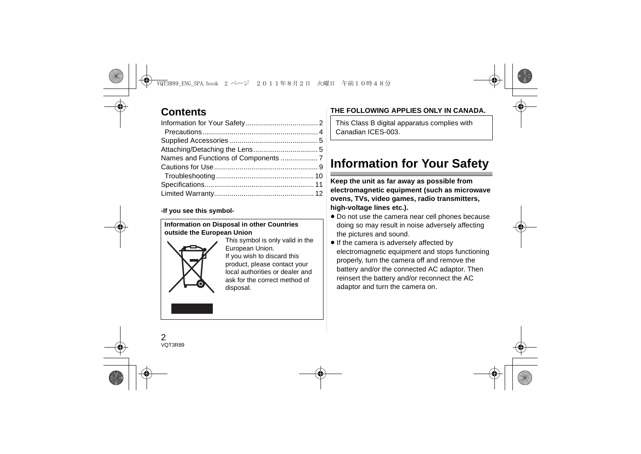# **Contents**

#### **-If you see this symbol-**

#### **Information on Disposal in other Countries outside the European Union**



This symbol is only valid in the European Union. If you wish to discard this product, please contact your local authorities or dealer and ask for the correct method of disposal.

## **THE FOLLOWING APPLIES ONLY IN CANADA.**

This Class B digital apparatus complies with Canadian ICES-003.

# **Information for Your Safety**

**Keep the unit as far away as possible from electromagnetic equipment (such as microwave ovens, TVs, video games, radio transmitters, high-voltage lines etc.).**

- Do not use the camera near cell phones because doing so may result in noise adversely affecting the pictures and sound.
- If the camera is adversely affected by electromagnetic equipment and stops functioning properly, turn the camera off and remove the battery and/or the connected AC adaptor. Then reinsert the battery and/or reconnect the AC adaptor and turn the camera on.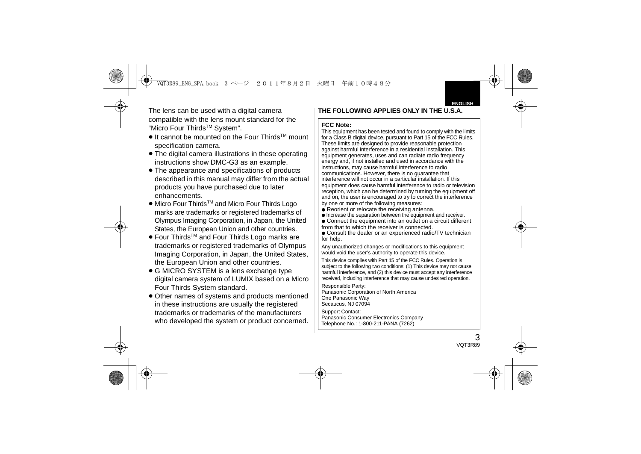The lens can be used with a digital camera compatible with the lens mount standard for the "Micro Four ThirdsTM System".

- It cannot be mounted on the Four Thirds<sup>™</sup> mount specification camera.
- ≥ The digital camera illustrations in these operating instructions show DMC-G3 as an example.
- ≥ The appearance and specifications of products described in this manual may differ from the actual products you have purchased due to later enhancements.
- Micro Four Thirds<sup>TM</sup> and Micro Four Thirds Logo marks are trademarks or registered trademarks of Olympus Imaging Corporation, in Japan, the United States, the European Union and other countries.
- Four Thirds<sup>™</sup> and Four Thirds Logo marks are trademarks or registered trademarks of Olympus Imaging Corporation, in Japan, the United States, the European Union and other countries.
- ≥ G MICRO SYSTEM is a lens exchange type digital camera system of LUMIX based on a Micro Four Thirds System standard.
- Other names of systems and products mentioned in these instructions are usually the registered trademarks or trademarks of the manufacturers who developed the system or product concerned.

#### **THE FOLLOWING APPLIES ONLY IN THE U.S.A.**

#### **FCC Note:**

This equipment has been tested and found to comply with the limits for a Class B digital device, pursuant to Part 15 of the FCC Rules. These limits are designed to provide reasonable protection against harmful interference in a residential installation. This equipment generates, uses and can radiate radio frequency energy and, if not installed and used in accordance with the instructions, may cause harmful interference to radio communications. However, there is no guarantee that interference will not occur in a particular installation. If this equipment does cause harmful interference to radio or television reception, which can be determined by turning the equipment off and on, the user is encouraged to try to correct the interference by one or more of the following measures:

- Reorient or relocate the receiving antenna
- Increase the separation between the equipment and receiver.
- Connect the equipment into an outlet on a circuit different from that to which the receiver is connected.
- Consult the dealer or an experienced radio/TV technician for help.
- Any unauthorized changes or modifications to this equipment would void the user's authority to operate this device.
- This device complies with Part 15 of the FCC Rules. Operation is subject to the following two conditions: (1) This device may not cause harmful interference, and (2) this device must accept any interference received, including interference that may cause undesired operation.

Responsible Party:

Panasonic Corporation of North America One Panasonic Way Secaucus, NJ 07094

Support Contact: Panasonic Consumer Electronics Company Telephone No.: 1-800-211-PANA (7262)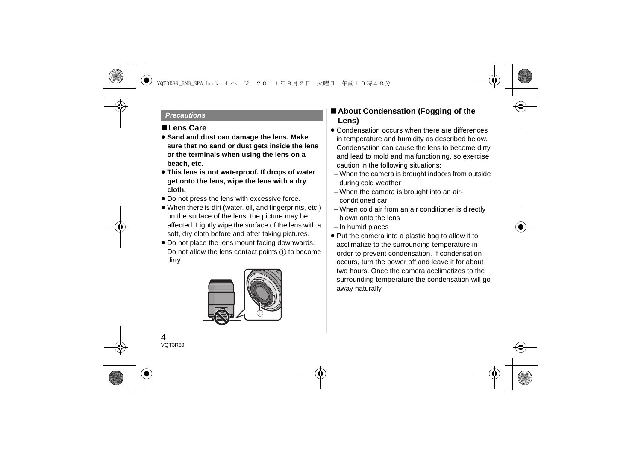#### *Precautions*

## ∫**Lens Care**

- ≥ **Sand and dust can damage the lens. Make sure that no sand or dust gets inside the lens or the terminals when using the lens on a beach, etc.**
- ≥ **This lens is not waterproof. If drops of water get onto the lens, wipe the lens with a dry cloth.**
- Do not press the lens with excessive force.
- ≥ When there is dirt (water, oil, and fingerprints, etc.) on the surface of the lens, the picture may be affected. Lightly wipe the surface of the lens with a soft, dry cloth before and after taking pictures.
- Do not place the lens mount facing downwards. Do not allow the lens contact points  $(1)$  to become dirty.



## ∫**About Condensation (Fogging of the Lens)**

- Condensation occurs when there are differences in temperature and humidity as described below. Condensation can cause the lens to become dirty and lead to mold and malfunctioning, so exercise caution in the following situations:
	- When the camera is brought indoors from outside during cold weather
	- When the camera is brought into an airconditioned car
	- When cold air from an air conditioner is directly blown onto the lens
	- In humid places
- ≥ Put the camera into a plastic bag to allow it to acclimatize to the surrounding temperature in order to prevent condensation. If condensation occurs, turn the power off and leave it for about two hours. Once the camera acclimatizes to the surrounding temperature the condensation will go away naturally.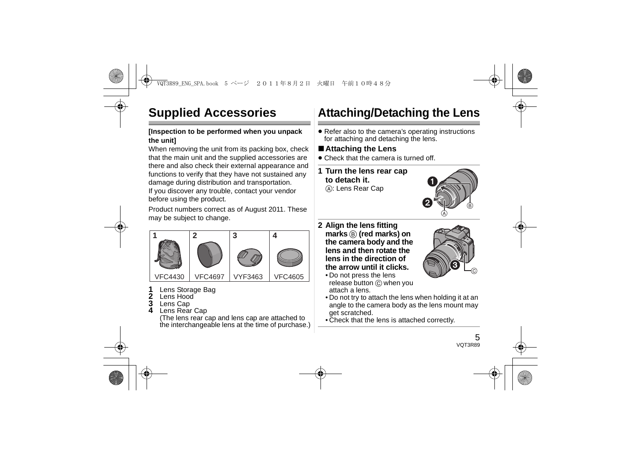# **Supplied Accessories**

#### **[Inspection to be performed when you unpack the unit]**

When removing the unit from its packing box, check that the main unit and the supplied accessories are there and also check their external appearance and functions to verify that they have not sustained any damage during distribution and transportation. If you discover any trouble, contact your vendor

before using the product.

Product numbers correct as of August 2011. These may be subject to change.



- **1**Lens Storage Bag
- **2**Lens Hood
- **3**Lens Cap
- **4**Lens Rear Cap

(The lens rear cap and lens cap are attached to the interchangeable lens at the time of purchase.)

# **Attaching/Detaching the Lens**

● Refer also to the camera's operating instructions for attaching and detaching the lens.

## ∫**Attaching the Lens**

- Check that the camera is turned off.
- **1 Turn the lens rear cap to detach it.**A: Lens Rear Cap



 $\left( 3\right)$ 

- **2 Align the lens fitting marks** B **(red marks) on the camera body and the lens and then rotate the lens in the direction of the arrow until it clicks.**
	- Do not press the lens release button (c) when you attach a lens.
	- Do not try to attach the lens when holding it at an angle to the camera body as the lens mount may get scratched.
	- Check that the lens is attached correctly.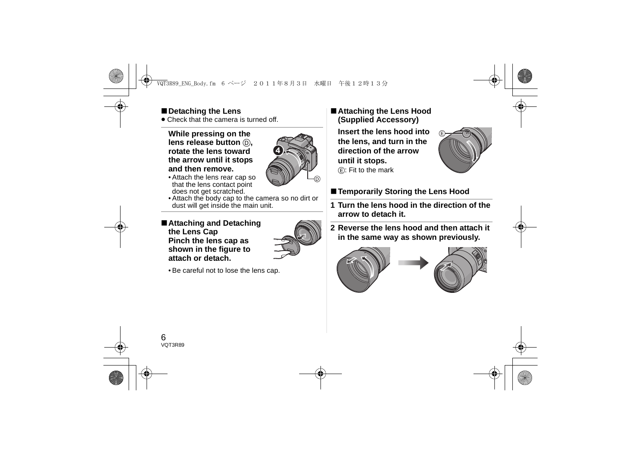## ∫**Detaching the Lens**

● Check that the camera is turned off.

#### **While pressing on the lens release button**  $\textcircled{b}$ **. rotate the lens toward the arrow until it stops and then remove.**



- Attach the lens rear cap so that the lens contact point does not get scratched.
- Attach the body cap to the camera so no dirt or dust will get inside the main unit.
- ∫**Attaching and Detaching the Lens Cap Pinch the lens cap as shown in the figure to attach or detach.**



• Be careful not to lose the lens cap.

## ∫**Attaching the Lens Hood (Supplied Accessory)**

**Insert the lens hood into the lens, and turn in the direction of the arrow until it stops.**  $(F)$ : Fit to the mark



# ■ Temporarily Storing the Lens Hood

- **1 Turn the lens hood in the direction of the arrow to detach it.**
- **2 Reverse the lens hood and then attach it in the same way as shown previously.**



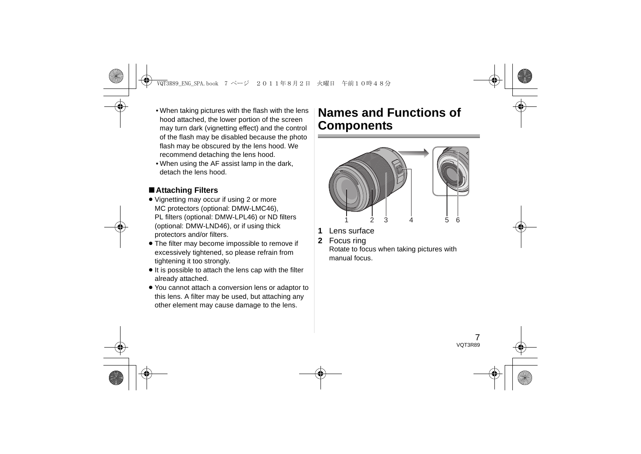- When taking pictures with the flash with the lens hood attached, the lower portion of the screen may turn dark (vignetting effect) and the control of the flash may be disabled because the photo flash may be obscured by the lens hood. We recommend detaching the lens hood.
- When using the AF assist lamp in the dark, detach the lens hood.

## ∫**Attaching Filters**

- ≥ Vignetting may occur if using 2 or more MC protectors (optional: DMW-LMC46), PL filters (optional: DMW-LPL46) or ND filters (optional: DMW-LND46), or if using thick protectors and/or filters.
- The filter may become impossible to remove if excessively tightened, so please refrain from tightening it too strongly.
- ≥ It is possible to attach the lens cap with the filter already attached.
- ≥ You cannot attach a conversion lens or adaptor to this lens. A filter may be used, but attaching any other element may cause damage to the lens.

# **Names and Functions of Components**



- **1**Lens surface
- **2**Focus ring

Rotate to focus when taking pictures with manual focus.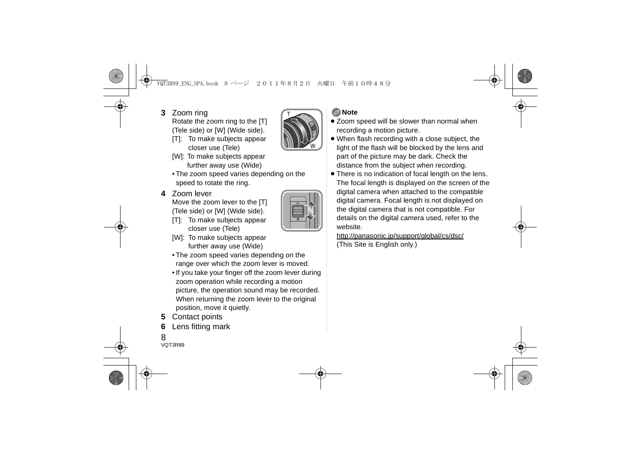**3** Zoom ring

Rotate the zoom ring to the [T] (Tele side) or [W] (Wide side).

[T]: To make subjects appear closer use (Tele)



- [W]: To make subjects appear further away use (Wide)
- The zoom speed varies depending on the speed to rotate the ring.

# **4** Zoom lever

Move the zoom lever to the [T] (Tele side) or [W] (Wide side).

[T]: To make subjects appear closer use (Tele)



- The zoom speed varies depending on the range over which the zoom lever is moved.
- If you take your finger off the zoom lever during zoom operation while recording a motion picture, the operation sound may be recorded. When returning the zoom lever to the original position, move it quietly.
- **5** Contact points
- **6**Lens fitting mark

## **Note**

- Zoom speed will be slower than normal when recording a motion picture.
- ≥ When flash recording with a close subject, the light of the flash will be blocked by the lens and part of the picture may be dark. Check the distance from the subject when recording.
- There is no indication of focal length on the lens. The focal length is displayed on the screen of the digital camera when attached to the compatible digital camera. Focal length is not displayed on the digital camera that is not compatible. For details on the digital camera used, refer to the website.

http://panasonic.jp/support/global/cs/dsc/ (This Site is English only.)

8VQT3R89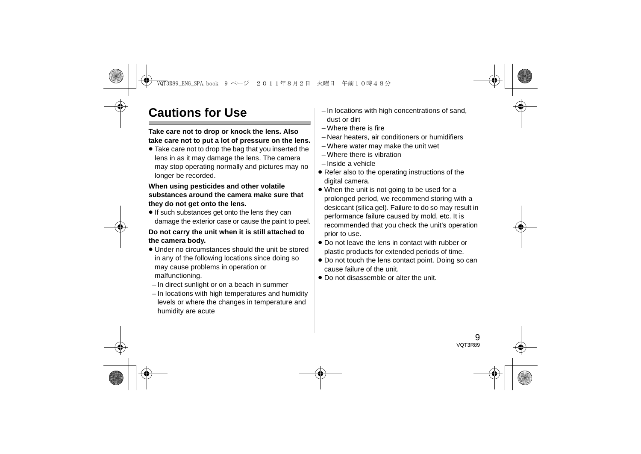# **Cautions for Use**

#### **Take care not to drop or knock the lens. Also take care not to put a lot of pressure on the lens.**

≥ Take care not to drop the bag that you inserted the lens in as it may damage the lens. The camera may stop operating normally and pictures may no longer be recorded.

#### **When using pesticides and other volatile substances around the camera make sure that they do not get onto the lens.**

● If such substances get onto the lens they can damage the exterior case or cause the paint to peel.

#### **Do not carry the unit when it is still attached to the camera body.**

- Under no circumstances should the unit be stored in any of the following locations since doing so may cause problems in operation or malfunctioning.
- In direct sunlight or on a beach in summer
- In locations with high temperatures and humidity levels or where the changes in temperature and humidity are acute
- In locations with high concentrations of sand, dust or dirt
- Where there is fire
- Near heaters, air conditioners or humidifiers
- Where water may make the unit wet
- Where there is vibration
- Inside a vehicle
- Refer also to the operating instructions of the digital camera.
- When the unit is not going to be used for a prolonged period, we recommend storing with a desiccant (silica gel). Failure to do so may result in performance failure caused by mold, etc. It is recommended that you check the unit's operation prior to use.
- Do not leave the lens in contact with rubber or plastic products for extended periods of time.
- ≥ Do not touch the lens contact point. Doing so can cause failure of the unit.
- Do not disassemble or alter the unit.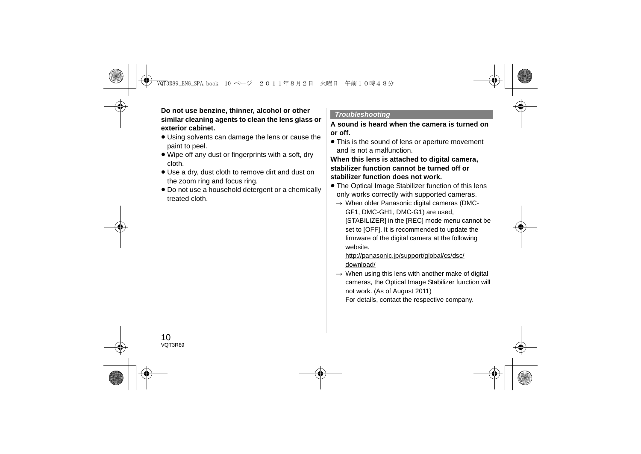#### **Do not use benzine, thinner, alcohol or other similar cleaning agents to clean the lens glass or exterior cabinet.**

- Using solvents can damage the lens or cause the paint to peel.
- ≥ Wipe off any dust or fingerprints with a soft, dry cloth.
- ≥ Use a dry, dust cloth to remove dirt and dust on the zoom ring and focus ring.
- ≥ Do not use a household detergent or a chemically treated cloth.

#### *Troubleshooting*

#### **A sound is heard when the camera is turned on or off.**

• This is the sound of lens or aperture movement and is not a malfunction.

#### **When this lens is attached to digital camera, stabilizer function cannot be turned off or stabilizer function does not work.**

- The Optical Image Stabilizer function of this lens only works correctly with supported cameras.
	- $\rightarrow$  When older Panasonic digital cameras (DMC-GF1, DMC-GH1, DMC-G1) are used, [STABILIZER] in the [REC] mode menu cannot be set to [OFF]. It is recommended to update the firmware of the digital camera at the following website.

#### http://panasonic.jp/support/global/cs/dsc/ download/

 $\rightarrow$  When using this lens with another make of digital cameras, the Optical Image Stabilizer function will not work. (As of August 2011)

For details, contact the respective company.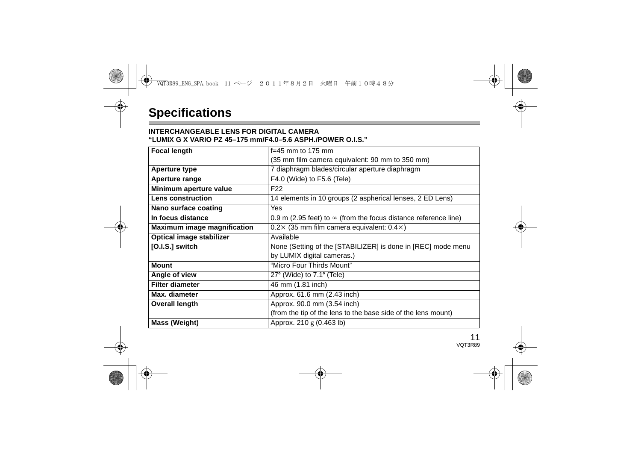#### **INTERCHANGEABLE LENS FOR DIGITAL CAMERA "LUMIX G X VARIO PZ 45–175 mm/F4.0–5.6 ASPH./POWER O.I.S."**

| <b>Focal length</b>                | $f=45$ mm to 175 mm                                                    |
|------------------------------------|------------------------------------------------------------------------|
|                                    | (35 mm film camera equivalent: 90 mm to 350 mm)                        |
| Aperture type                      | 7 diaphragm blades/circular aperture diaphragm                         |
| Aperture range                     | F4.0 (Wide) to F5.6 (Tele)                                             |
| Minimum aperture value             | F <sub>22</sub>                                                        |
| Lens construction                  | 14 elements in 10 groups (2 aspherical lenses, 2 ED Lens)              |
| Nano surface coating               | <b>Yes</b>                                                             |
| In focus distance                  | 0.9 m (2.95 feet) to $\infty$ (from the focus distance reference line) |
| <b>Maximum image magnification</b> | $0.2 \times (35$ mm film camera equivalent: $0.4 \times$ )             |
| Optical image stabilizer           | Available                                                              |
| [O.I.S.] switch                    | None (Setting of the [STABILIZER] is done in [REC] mode menu           |
|                                    | by LUMIX digital cameras.)                                             |
| <b>Mount</b>                       | "Micro Four Thirds Mount"                                              |
| Angle of view                      | $27^{\circ}$ (Wide) to $7.1^{\circ}$ (Tele)                            |
| <b>Filter diameter</b>             | 46 mm (1.81 inch)                                                      |
| Max. diameter                      | Approx. 61.6 mm (2.43 inch)                                            |
| <b>Overall length</b>              | Approx. 90.0 mm (3.54 inch)                                            |
|                                    | (from the tip of the lens to the base side of the lens mount)          |
| Mass (Weight)                      | Approx. $210 \text{ g}$ (0.463 lb)                                     |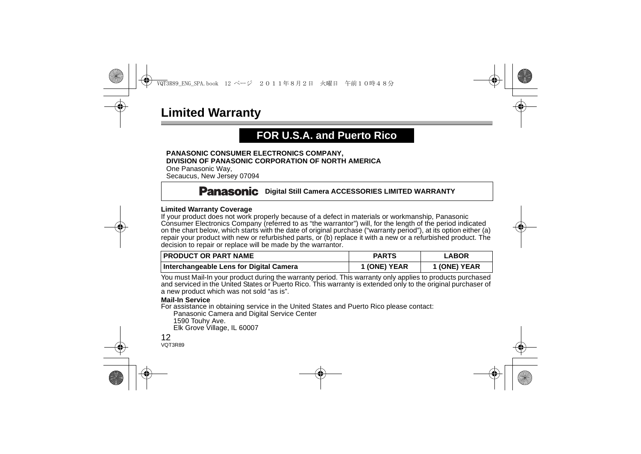# **Limited Warranty**

# **FOR U.S.A. and Puerto Rico**

#### **PANASONIC CONSUMER ELECTRONICS COMPANY, DIVISION OF PANASONIC CORPORATION OF NORTH AMERICA**

One Panasonic Way, Secaucus, New Jersey 07094

## **Panasonic** Digital Still Camera ACCESSORIES LIMITED WARRANTY

#### **Limited Warranty Coverage**

If your product does not work properly because of a defect in materials or workmanship, Panasonic Consumer Electronics Company (referred to as "the warrantor") will, for the length of the period indicated on the chart below, which starts with the date of original purchase ("warranty period"), at its option either (a) repair your product with new or refurbished parts, or (b) replace it with a new or a refurbished product. The decision to repair or replace will be made by the warrantor.

| I PRODUCT OR PART NAME                  | <b>PARTS</b> | <b>LABOR</b> |
|-----------------------------------------|--------------|--------------|
| Interchangeable Lens for Digital Camera | 1 (ONE) YEAR | 1 (ONE) YEAR |

You must Mail-In your product during the warranty period. This warranty only applies to products purchased and serviced in the United States or Puerto Rico. This warranty is extended only to the original purchaser of a new product which was not sold "as is".

#### **Mail-In Service**

For assistance in obtaining service in the United States and Puerto Rico please contact:

Panasonic Camera and Digital Service Center

1590 Touhy Ave.

Elk Grove Village, IL 60007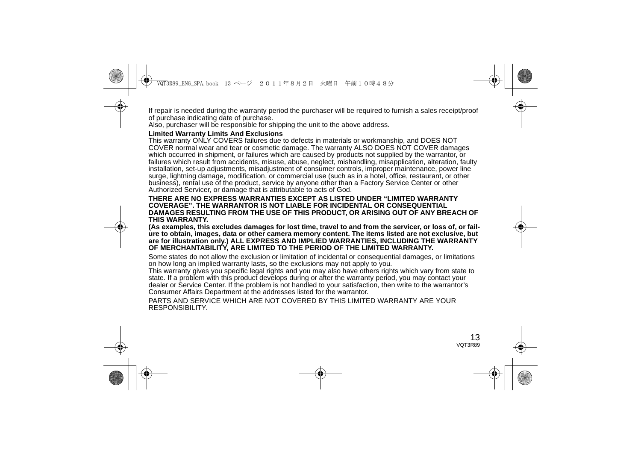If repair is needed during the warranty period the purchaser will be required to furnish a sales receipt/proof of purchase indicating date of purchase.

Also, purchaser will be responsible for shipping the unit to the above address.

#### **Limited Warranty Limits And Exclusions**

This warranty ONLY COVERS failures due to defects in materials or workmanship, and DOES NOT COVER normal wear and tear or cosmetic damage. The warranty ALSO DOES NOT COVER damages which occurred in shipment, or failures which are caused by products not supplied by the warrantor, or failures which result from accidents, misuse, abuse, neglect, mishandling, misapplication, alteration, faulty installation, set-up adjustments, misadjustment of consumer controls, improper maintenance, power line surge, lightning damage, modification, or commercial use (such as in a hotel, office, restaurant, or other business), rental use of the product, service by anyone other than a Factory Service Center or other Authorized Servicer, or damage that is attributable to acts of God.

#### **THERE ARE NO EXPRESS WARRANTIES EXCEPT AS LISTED UNDER "LIMITED WARRANTY COVERAGE". THE WARRANTOR IS NOT LIABLE FOR INCIDENTAL OR CONSEQUENTIAL DAMAGES RESULTING FROM THE USE OF THIS PRODUCT, OR ARISING OUT OF ANY BREACH OF THIS WARRANTY.**

**(As examples, this excludes damages for lost time, travel to and from the servicer, or loss of, or failure to obtain, images, data or other camera memory content. The items listed are not exclusive, but are for illustration only.) ALL EXPRESS AND IMPLIED WARRANTIES, INCLUDING THE WARRANTY OF MERCHANTABILITY, ARE LIMITED TO THE PERIOD OF THE LIMITED WARRANTY.**

Some states do not allow the exclusion or limitation of incidental or consequential damages, or limitations on how long an implied warranty lasts, so the exclusions may not apply to you.

This warranty gives you specific legal rights and you may also have others rights which vary from state to state. If a problem with this product develops during or after the warranty period, you may contact your dealer or Service Center. If the problem is not handled to your satisfaction, then write to the warrantor's Consumer Affairs Department at the addresses listed for the warrantor.

PARTS AND SERVICE WHICH ARE NOT COVERED BY THIS LIMITED WARRANTY ARE YOUR RESPONSIBILITY.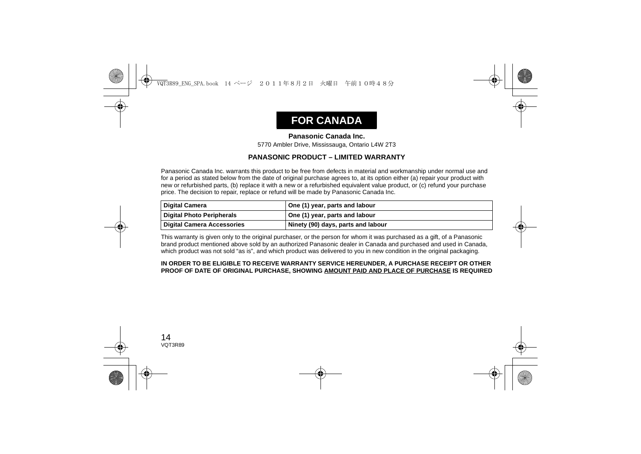# **FOR CANADA**

#### **Panasonic Canada Inc.**

5770 Ambler Drive, Mississauga, Ontario L4W 2T3

#### **PANASONIC PRODUCT – LIMITED WARRANTY**

Panasonic Canada Inc. warrants this product to be free from defects in material and workmanship under normal use and for a period as stated below from the date of original purchase agrees to, at its option either (a) repair your product with new or refurbished parts, (b) replace it with a new or a refurbished equivalent value product, or (c) refund your purchase price. The decision to repair, replace or refund will be made by Panasonic Canada Inc.

| <b>Digital Camera</b>             | One (1) year, parts and labour     |
|-----------------------------------|------------------------------------|
| <b>Digital Photo Peripherals</b>  | One (1) year, parts and labour     |
| <b>Digital Camera Accessories</b> | Ninety (90) days, parts and labour |

This warranty is given only to the original purchaser, or the person for whom it was purchased as a gift, of a Panasonic brand product mentioned above sold by an authorized Panasonic dealer in Canada and purchased and used in Canada, which product was not sold "as is", and which product was delivered to you in new condition in the original packaging.

#### **IN ORDER TO BE ELIGIBLE TO RECEIVE WARRANTY SERVICE HEREUNDER, A PURCHASE RECEIPT OR OTHER PROOF OF DATE OF ORIGINAL PURCHASE, SHOWING AMOUNT PAID AND PLACE OF PURCHASE IS REQUIRED**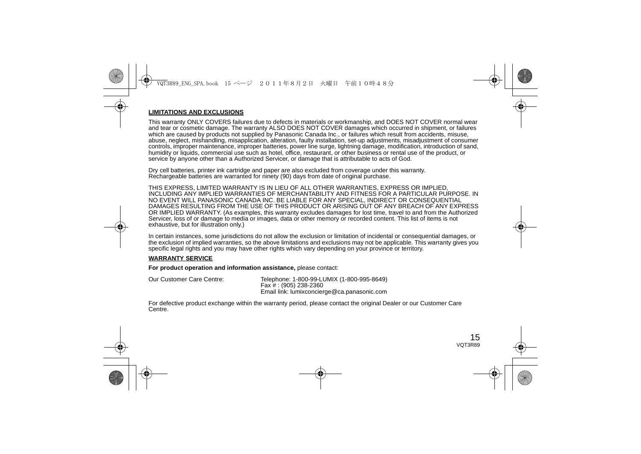#### **LIMITATIONS AND EXCLUSIONS**

This warranty ONLY COVERS failures due to defects in materials or workmanship, and DOES NOT COVER normal wear and tear or cosmetic damage. The warranty ALSO DOES NOT COVER damages which occurred in shipment, or failures which are caused by products not supplied by Panasonic Canada Inc., or failures which result from accidents, misuse, abuse, neglect, mishandling, misapplication, alteration, faulty installation, set-up adjustments, misadjustment of consumer controls, improper maintenance, improper batteries, power line surge, lightning damage, modification, introduction of sand, humidity or liquids, commercial use such as hotel, office, restaurant, or other business or rental use of the product, or service by anyone other than a Authorized Servicer, or damage that is attributable to acts of God.

Dry cell batteries, printer ink cartridge and paper are also excluded from coverage under this warranty. Rechargeable batteries are warranted for ninety (90) days from date of original purchase.

THIS EXPRESS, LIMITED WARRANTY IS IN LIEU OF ALL OTHER WARRANTIES, EXPRESS OR IMPLIED, INCLUDING ANY IMPLIED WARRANTIES OF MERCHANTABILITY AND FITNESS FOR A PARTICULAR PURPOSE. IN NO EVENT WILL PANASONIC CANADA INC. BE LIABLE FOR ANY SPECIAL, INDIRECT OR CONSEQUENTIAL DAMAGES RESULTING FROM THE USE OF THIS PRODUCT OR ARISING OUT OF ANY BREACH OF ANY EXPRESS OR IMPLIED WARRANTY. (As examples, this warranty excludes damages for lost time, travel to and from the Authorized Servicer, loss of or damage to media or images, data or other memory or recorded content. This list of items is not exhaustive, but for illustration only.)

In certain instances, some jurisdictions do not allow the exclusion or limitation of incidental or consequential damages, or the exclusion of implied warranties, so the above limitations and exclusions may not be applicable. This warranty gives you specific legal rights and you may have other rights which vary depending on your province or territory.

#### **WARRANTY SERVICE**

**For product operation and information assistance,** please contact:

| Our Customer Care Centre: | Telephone: 1-800-99-LUMIX (1-800-995-8649)  |
|---------------------------|---------------------------------------------|
|                           | Fax # : (905) 238-2360                      |
|                           | Email link: lumixconcierge@ca.panasonic.com |

For defective product exchange within the warranty period, please contact the original Dealer or our Customer Care Centre.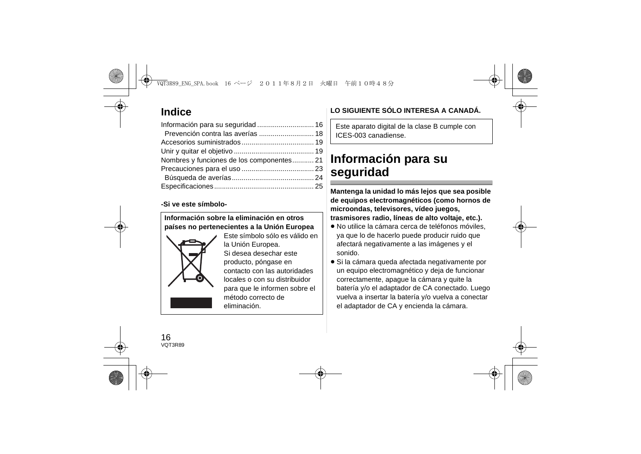# **Indice**

| Información para su seguridad  16         |  |
|-------------------------------------------|--|
| Prevención contra las averías  18         |  |
|                                           |  |
|                                           |  |
| Nombres y funciones de los componentes 21 |  |
|                                           |  |
|                                           |  |
|                                           |  |

#### **-Si ve este símbolo-**

#### **Información sobre la eliminación en otros países no pertenecientes a la Unión Europea**



Este símbolo sólo es válido en la Unión Europea. Si desea desechar este producto, póngase en contacto con las autoridades locales o con su distribuidor para que le informen sobre el método correcto de eliminación.

# **LO SIGUIENTE SÓLO INTERESA A CANADÁ.**

Este aparato digital de la clase B cumple con ICES-003 canadiense.

# **Información para su seguridad**

**Mantenga la unidad lo más lejos que sea posible de equipos electromagnéticos (como hornos de microondas, televisores, vídeo juegos, trasmisores radio, líneas de alto voltaje, etc.).**

- ≥ No utilice la cámara cerca de teléfonos móviles, ya que lo de hacerlo puede producir ruido que afectará negativamente a las imágenes y el sonido.
- ≥ Si la cámara queda afectada negativamente por un equipo electromagnético y deja de funcionar correctamente, apague la cámara y quite la batería y/o el adaptador de CA conectado. Luego vuelva a insertar la batería y/o vuelva a conectar el adaptador de CA y encienda la cámara.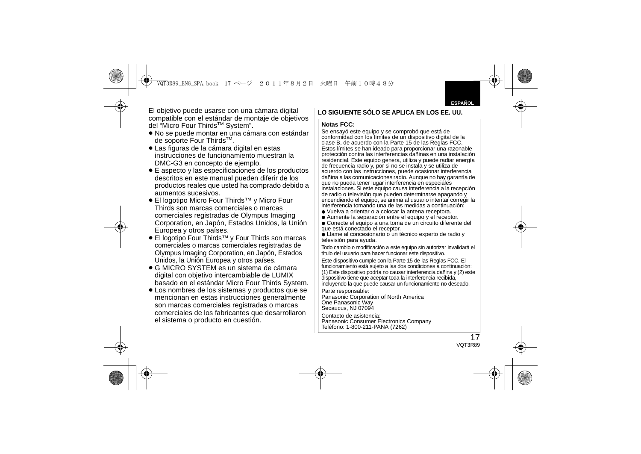El objetivo puede usarse con una cámara digital compatible con el estándar de montaje de objetivos del "Micro Four Thirds™ System".

- ≥ No se puede montar en una cámara con estándar de soporte Four Thirds<sup>™</sup>.
- ≥ Las figuras de la cámara digital en estas instrucciones de funcionamiento muestran la DMC-G3 en concepto de ejemplo.
- ≥ E aspecto y las especificaciones de los productos descritos en este manual pueden diferir de los productos reales que usted ha comprado debido a aumentos sucesivos.
- ≥ El logotipo Micro Four Thirds™ y Micro Four Thirds son marcas comerciales o marcas comerciales registradas de Olympus Imaging Corporation, en Japón, Estados Unidos, la Unión Europea y otros países.
- ≥ El logotipo Four Thirds™ y Four Thirds son marcas comerciales o marcas comerciales registradas de Olympus Imaging Corporation, en Japón, Estados Unidos, la Unión Europea y otros países.
- ≥ G MICRO SYSTEM es un sistema de cámara digital con objetivo intercambiable de LUMIX basado en el estándar Micro Four Thirds System.
- ≥ Los nombres de los sistemas y productos que se mencionan en estas instrucciones generalmente son marcas comerciales registradas o marcas comerciales de los fabricantes que desarrollaron el sistema o producto en cuestión.

## **LO SIGUIENTE SÓLO SE APLICA EN LOS EE. UU.**

#### **Notas FCC:**

Se ensayó este equipo y se comprobó que está de conformidad con los límites de un dispositivo digital de la clase B, de acuerdo con la Parte 15 de las Reglas FCC. Estos límites se han ideado para proporcionar una razonable protección contra las interferencias dañinas en una instalación residencial. Este equipo genera, utiliza y puede radiar energía de frecuencia radio y, por si no se instala y se utiliza de acuerdo con las instrucciones, puede ocasionar interferencia dañina a las comunicaciones radio. Aunque no hay garantía de que no pueda tener lugar interferencia en especiales instalaciones. Si este equipo causa interferencia a la recepción de radio o televisión que pueden determinarse apagando y encendiendo el equipo, se anima al usuario intentar corregir la interferencia tomando una de las medidas a continuación:

- Vuelva a orientar o a colocar la antena receptora.
- Aumente la separación entre el equipo y el receptor
- Conecte el equipo a una toma de un circuito diferente del que está conectado el receptor.
- Llame al concesionario o un técnico experto de radio y televisión para ayuda.

Todo cambio o modificación a este equipo sin autorizar invalidará el título del usuario para hacer funcionar este dispositivo.

Este dispositivo cumple con la Parte 15 de las Reglas FCC. El funcionamiento está sujeto a las dos condiciones a continuación: (1) Este dispositivo podría no causar interferencia dañina y (2) este dispositivo tiene que aceptar toda la interferencia recibida, incluyendo la que puede causar un funcionamiento no deseado.

Parte responsable: Panasonic Corporation of North America One Panasonic Way Secaucus, NJ 07094

Contacto de asistencia:

 Panasonic Consumer Electronics Company Teléfono: 1-800-211-PANA (7262)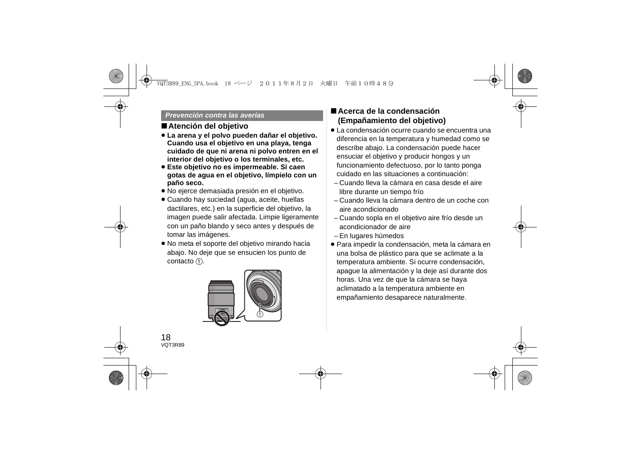#### *Prevención contra las averías*

## ∫**Atención del objetivo**

- ≥ **La arena y el polvo pueden dañar el objetivo. Cuando usa el objetivo en una playa, tenga cuidado de que ni arena ni polvo entren en el interior del objetivo o los terminales, etc.**
- ≥ **Este objetivo no es impermeable. Si caen gotas de agua en el objetivo, límpielo con un paño seco.**
- ≥ No ejerce demasiada presión en el objetivo.
- ≥ Cuando hay suciedad (agua, aceite, huellas dactilares, etc.) en la superficie del objetivo, la imagen puede salir afectada. Limpie ligeramente con un paño blando y seco antes y después de tomar las imágenes.
- ≥ No meta el soporte del objetivo mirando hacia abajo. No deje que se ensucien los punto de contacto  $(1)$ .



## ∫**Acerca de la condensación (Empañamiento del objetivo)**

- ≥ La condensación ocurre cuando se encuentra una diferencia en la temperatura y humedad como se describe abajo. La condensación puede hacer ensuciar el objetivo y producir hongos y un funcionamiento defectuoso, por lo tanto ponga cuidado en las situaciones a continuación:
	- Cuando lleva la cámara en casa desde el aire libre durante un tiempo frío
	- Cuando lleva la cámara dentro de un coche con aire acondicionado
	- Cuando sopla en el objetivo aire frío desde un acondicionador de aire
- En lugares húmedos
- ≥ Para impedir la condensación, meta la cámara en una bolsa de plástico para que se aclimate a la temperatura ambiente. Si ocurre condensación, apague la alimentación y la deje así durante dos horas. Una vez de que la cámara se haya aclimatado a la temperatura ambiente en empañamiento desaparece naturalmente.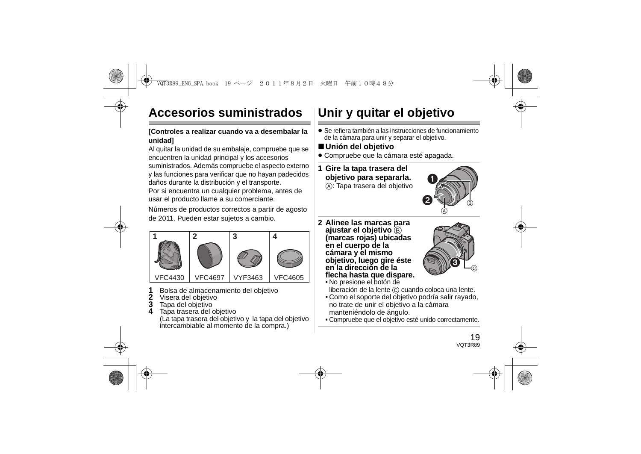# **Accesorios suministrados**

#### **[Controles a realizar cuando va a desembalar la unidad]**

Al quitar la unidad de su embalaje, compruebe que se encuentren la unidad principal y los accesorios suministrados. Además compruebe el aspecto externo y las funciones para verificar que no hayan padecidos daños durante la distribución y el transporte.

Por si encuentra un cualquier problema, antes de usar el producto llame a su comerciante.

Números de productos correctos a partir de agosto de 2011. Pueden estar sujetos a cambio.



- **1**Bolsa de almacenamiento del objetivo
- **2**Visera del objetivo
- **3**Tapa del objetivo
- **4**Tapa trasera del objetivo

(La tapa trasera del objetivo y la tapa del objetivo intercambiable al momento de la compra.)

# **Unir y quitar el objetivo**

- ≥ Se refiera también a las instrucciones de funcionamiento de la cámara para unir y separar el objetivo.
- ∫**Unión del objetivo**
- ≥ Compruebe que la cámara esté apagada.
- **1 Gire la tapa trasera del objetivo para separarla.**
	- A: Tapa trasera del objetivo



**2 Alinee las marcas para ajustar el objetivo** B **(marcas rojas) ubicadas en el cuerpo de la cámara y el mismo objetivo, luego gire éste en la dirección de la flecha hasta que dispare.**



- No presione el botón de liberación de la lente C cuando coloca una lente.
- Como el soporte del objetivo podría salir rayado, no trate de unir el objetivo a la cámara manteniéndolo de ángulo.
- Compruebe que el objetivo esté unido correctamente.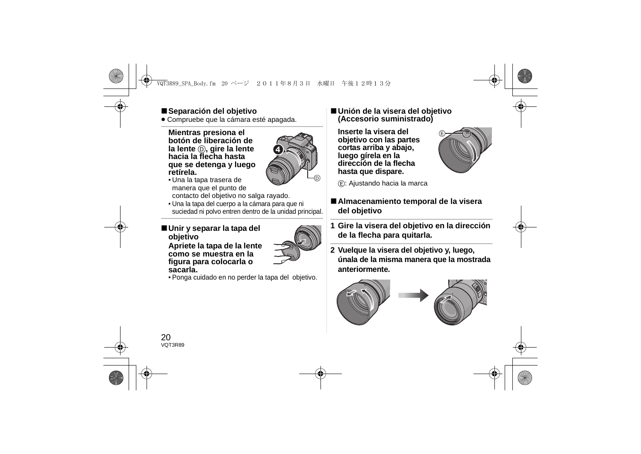## ∫**Separación del objetivo**

≥ Compruebe que la cámara esté apagada.

**Mientras presiona el botón de liberación de la lente** D**, gire la lente hacia la flecha hasta que se detenga y luego retírela.**



- Una la tapa trasera de manera que el punto de contacto del objetivo no salga rayado.
- Una la tapa del cuerpo a la cámara para que ni suciedad ni polvo entren dentro de la unidad principal.

#### ∫**Unir y separar la tapa del objetivo Apriete la tapa de la lente como se muestra en la figura para colocarla o sacarla.**



• Ponga cuidado en no perder la tapa del objetivo.

#### ∫**Unión de la visera del objetivo (Accesorio suministrado)**

**Inserte la visera del objetivo con las partes cortas arriba y abajo, luego gírela en la dirección de la flecha hasta que dispare.**



E: Ajustando hacia la marca

## ∫**Almacenamiento temporal de la visera del objetivo**

- **1 Gire la visera del objetivo en la dirección de la flecha para quitarla.**
- **2 Vuelque la visera del objetivo y, luego, únala de la misma manera que la mostrada anteriormente.**



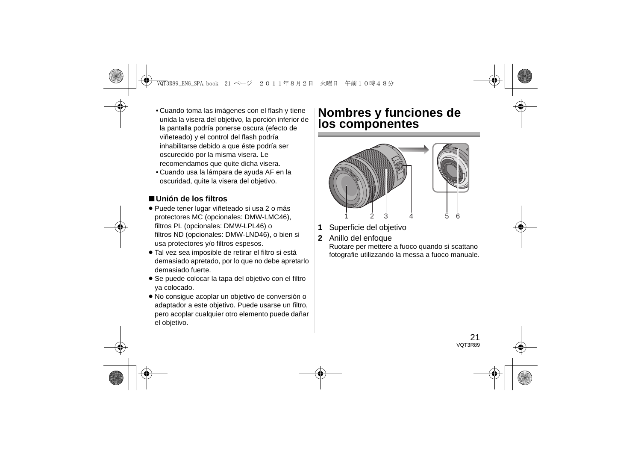- Cuando toma las imágenes con el flash y tiene unida la visera del objetivo, la porción inferior de la pantalla podría ponerse oscura (efecto de viñeteado) y el control del flash podría inhabilitarse debido a que éste podría ser oscurecido por la misma visera. Le recomendamos que quite dicha visera.
- Cuando usa la lámpara de ayuda AF en la oscuridad, quite la visera del objetivo.

## ∫**Unión de los filtros**

- ≥ Puede tener lugar viñeteado si usa 2 o más protectores MC (opcionales: DMW-LMC46), filtros PL (opcionales: DMW-LPL46) o filtros ND (opcionales: DMW-LND46), o bien si usa protectores y/o filtros espesos.
- ≥ Tal vez sea imposible de retirar el filtro si está demasiado apretado, por lo que no debe apretarlo demasiado fuerte.
- ≥ Se puede colocar la tapa del objetivo con el filtro ya colocado.
- ≥ No consigue acoplar un objetivo de conversión o adaptador a este objetivo. Puede usarse un filtro, pero acoplar cualquier otro elemento puede dañar el objetivo.

# **Nombres y funciones de los componentes**



- **1**Superficie del objetivo
- **2**Anillo del enfoque

Ruotare per mettere a fuoco quando si scattano fotografie utilizzando la messa a fuoco manuale.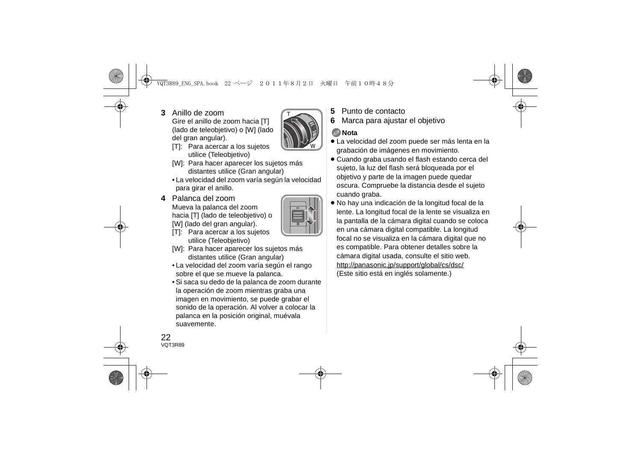**3** Anillo de zoom

Gire el anillo de zoom hacia [T] (lado de teleobjetivo) o [W] (lado del gran angular).

- [T]: Para acercar a los sujetos utilice (Teleobjetivo)
- [W]: Para hacer aparecer los sujetos más distantes utilice (Gran angular)
- La velocidad del zoom varía según la velocidad para girar el anillo.
- **4** Palanca del zoomMueva la palanca del zoom hacia [T] (lado de teleobjetivo) o [W] (lado del gran angular).



W

T

- [T]: Para acercar a los sujetos utilice (Teleobjetivo)
- [W]: Para hacer aparecer los sujetos más distantes utilice (Gran angular)
- La velocidad del zoom varía según el rango sobre el que se mueve la palanca.
- Si saca su dedo de la palanca de zoom durante la operación de zoom mientras graba una imagen en movimiento, se puede grabar el sonido de la operación. Al volver a colocar la palanca en la posición original, muévala suavemente.
- **5**Punto de contacto
- **6**Marca para ajustar el objetivo

## **Nota**

- ≥ La velocidad del zoom puede ser más lenta en la grabación de imágenes en movimiento.
- ≥ Cuando graba usando el flash estando cerca del sujeto, la luz del flash será bloqueada por el objetivo y parte de la imagen puede quedar oscura. Compruebe la distancia desde el sujeto cuando graba.
- ≥ No hay una indicación de la longitud focal de la lente. La longitud focal de la lente se visualiza en la pantalla de la cámara digital cuando se coloca en una cámara digital compatible. La longitud focal no se visualiza en la cámara digital que no es compatible. Para obtener detalles sobre la cámara digital usada, consulte el sitio web. http://panasonic.jp/support/global/cs/dsc/ (Este sitio está en inglés solamente.)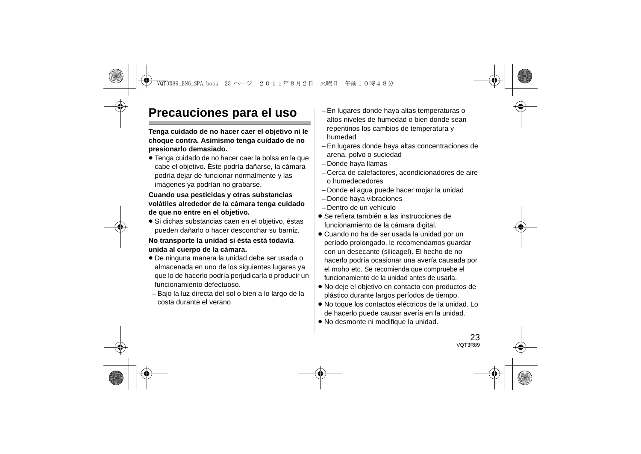# **Precauciones para el uso**

**Tenga cuidado de no hacer caer el objetivo ni le choque contra. Asimismo tenga cuidado de no presionarlo demasiado.**

≥ Tenga cuidado de no hacer caer la bolsa en la que cabe el objetivo. Éste podría dañarse, la cámara podría dejar de funcionar normalmente y las imágenes ya podrían no grabarse.

#### **Cuando usa pesticidas y otras substancias volátiles alrededor de la cámara tenga cuidado de que no entre en el objetivo.**

≥ Si dichas substancias caen en el objetivo, éstas pueden dañarlo o hacer desconchar su barniz.

#### **No transporte la unidad si ésta está todavía unida al cuerpo de la cámara.**

- ≥ De ninguna manera la unidad debe ser usada o almacenada en uno de los siguientes lugares ya que lo de hacerlo podría perjudicarla o producir un funcionamiento defectuoso.
- Bajo la luz directa del sol o bien a lo largo de la costa durante el verano
- En lugares donde haya altas temperaturas o altos niveles de humedad o bien donde sean repentinos los cambios de temperatura y humedad
- En lugares donde haya altas concentraciones de arena, polvo o suciedad
- Donde haya llamas
- Cerca de calefactores, acondicionadores de aire o humedecedores
- Donde el agua puede hacer mojar la unidad
- Donde haya vibraciones
- Dentro de un vehículo
- ≥ Se refiera también a las instrucciones de funcionamiento de la cámara digital.
- ≥ Cuando no ha de ser usada la unidad por un período prolongado, le recomendamos guardar con un desecante (silicagel). El hecho de no hacerlo podría ocasionar una avería causada por el moho etc. Se recomienda que compruebe el funcionamiento de la unidad antes de usarla.
- ≥ No deje el objetivo en contacto con productos de plástico durante largos períodos de tiempo.
- ≥ No toque los contactos eléctricos de la unidad. Lo de hacerlo puede causar avería en la unidad.
- ≥ No desmonte ni modifique la unidad.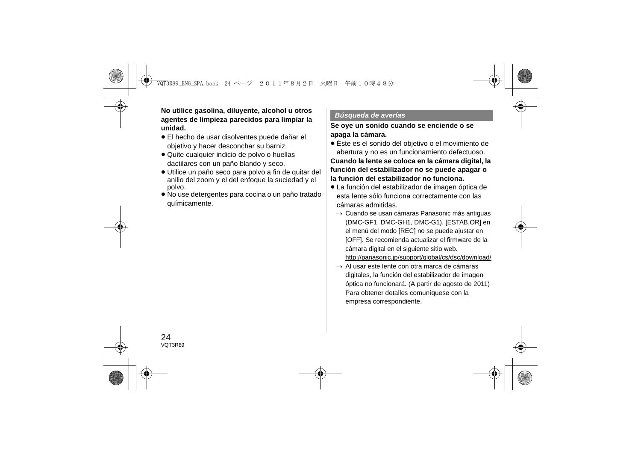**No utilice gasolina, diluyente, alcohol u otros agentes de limpieza parecidos para limpiar la unidad.**

- ≥ El hecho de usar disolventes puede dañar el objetivo y hacer desconchar su barniz.
- ≥ Quite cualquier indicio de polvo o huellas dactilares con un paño blando y seco.
- ≥ Utilice un paño seco para polvo a fin de quitar del anillo del zoom y el del enfoque la suciedad y el polvo.
- ≥ No use detergentes para cocina o un paño tratado químicamente.

#### *Búsqueda de averías*

#### **Se oye un sonido cuando se enciende o se apaga la cámara.**

≥ Éste es el sonido del objetivo o el movimiento de abertura y no es un funcionamiento defectuoso.

**Cuando la lente se coloca en la cámara digital, la función del estabilizador no se puede apagar o la función del estabilizador no funciona.**

- ≥ La función del estabilizador de imagen óptica de esta lente sólo funciona correctamente con las cámaras admitidas.
	- $\rightarrow$  Cuando se usan cámaras Panasonic más antiguas (DMC-GF1, DMC-GH1, DMC-G1), [ESTAB.OR] en el menú del modo [REC] no se puede ajustar en [OFF]. Se recomienda actualizar el firmware de la cámara digital en el siguiente sitio web. http://panasonic.jp/support/global/cs/dsc/download/
	- $\rightarrow$  Al usar este lente con otra marca de cámaras digitales, la función del estabilizador de imagen óptica no funcionará. (A partir de agosto de 2011) Para obtener detalles comuníquese con la empresa correspondiente.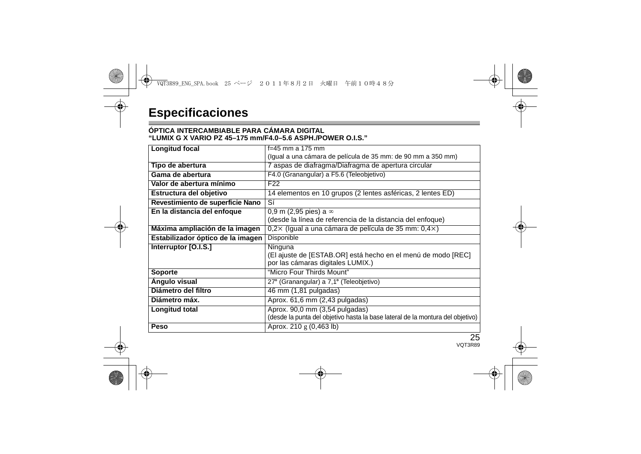#### **ÓPTICA INTERCAMBIABLE PARA CÁMARA DIGITAL"LUMIX G X VARIO PZ 45–175 mm/F4.0–5.6 ASPH./POWER O.I.S."**

| Longitud focal                    | f=45 mm a 175 mm                                                                                                 |
|-----------------------------------|------------------------------------------------------------------------------------------------------------------|
|                                   | (Igual a una cámara de película de 35 mm: de 90 mm a 350 mm)                                                     |
| Tipo de abertura                  | 7 aspas de diafragma/Diafragma de apertura circular                                                              |
| Gama de abertura                  | F4.0 (Granangular) a F5.6 (Teleobjetivo)                                                                         |
| Valor de abertura mínimo          | F <sub>22</sub>                                                                                                  |
| Estructura del objetivo           | 14 elementos en 10 grupos (2 lentes asféricas, 2 lentes ED)                                                      |
| Revestimiento de superficie Nano  | Sí                                                                                                               |
| En la distancia del enfoque       | 0.9 m (2.95 pies) a $\infty$<br>(desde la línea de referencia de la distancia del enfoque)                       |
| Máxima ampliación de la imagen    | $0.2\times$ (Igual a una cámara de película de 35 mm: $0.4\times$ )                                              |
| Estabilizador óptico de la imagen | Disponible                                                                                                       |
| Interruptor [O.I.S.]              | Ninguna<br>(El ajuste de [ESTAB.OR] está hecho en el menú de modo [REC]<br>por las cámaras digitales LUMIX.)     |
| Soporte                           | "Micro Four Thirds Mount"                                                                                        |
| Angulo visual                     | 27° (Granangular) a 7,1° (Teleobjetivo)                                                                          |
| Diámetro del filtro               | 46 mm (1,81 pulgadas)                                                                                            |
| Diámetro máx.                     | Aprox. 61,6 mm (2,43 pulgadas)                                                                                   |
| Longitud total                    | Aprox. 90,0 mm (3,54 pulgadas)<br>(desde la punta del objetivo hasta la base lateral de la montura del objetivo) |
| Peso                              | Aprox. 210 g (0,463 lb)                                                                                          |